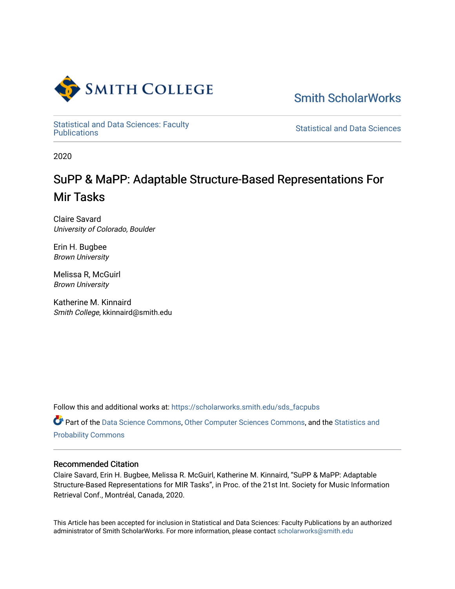

[Smith ScholarWorks](https://scholarworks.smith.edu/) 

Statistical and Data Sciences: Faculty<br>Publications

**Statistical and Data Sciences** 

2020

# SuPP & MaPP: Adaptable Structure-Based Representations For Mir Tasks

Claire Savard University of Colorado, Boulder

Erin H. Bugbee Brown University

Melissa R, McGuirl Brown University

Katherine M. Kinnaird Smith College, kkinnaird@smith.edu

Follow this and additional works at: [https://scholarworks.smith.edu/sds\\_facpubs](https://scholarworks.smith.edu/sds_facpubs?utm_source=scholarworks.smith.edu%2Fsds_facpubs%2F43&utm_medium=PDF&utm_campaign=PDFCoverPages)

Part of the [Data Science Commons,](http://network.bepress.com/hgg/discipline/1429?utm_source=scholarworks.smith.edu%2Fsds_facpubs%2F43&utm_medium=PDF&utm_campaign=PDFCoverPages) [Other Computer Sciences Commons](http://network.bepress.com/hgg/discipline/152?utm_source=scholarworks.smith.edu%2Fsds_facpubs%2F43&utm_medium=PDF&utm_campaign=PDFCoverPages), and the [Statistics and](http://network.bepress.com/hgg/discipline/208?utm_source=scholarworks.smith.edu%2Fsds_facpubs%2F43&utm_medium=PDF&utm_campaign=PDFCoverPages) [Probability Commons](http://network.bepress.com/hgg/discipline/208?utm_source=scholarworks.smith.edu%2Fsds_facpubs%2F43&utm_medium=PDF&utm_campaign=PDFCoverPages) 

# Recommended Citation

Claire Savard, Erin H. Bugbee, Melissa R. McGuirl, Katherine M. Kinnaird, "SuPP & MaPP: Adaptable Structure-Based Representations for MIR Tasks", in Proc. of the 21st Int. Society for Music Information Retrieval Conf., Montréal, Canada, 2020.

This Article has been accepted for inclusion in Statistical and Data Sciences: Faculty Publications by an authorized administrator of Smith ScholarWorks. For more information, please contact [scholarworks@smith.edu](mailto:scholarworks@smith.edu)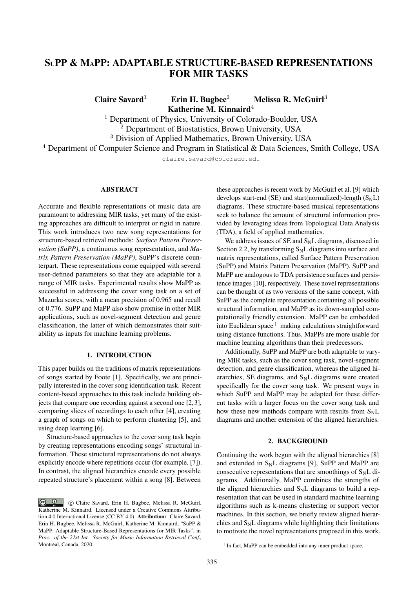# SUPP & MAPP: ADAPTABLE STRUCTURE-BASED REPRESENTATIONS FOR MIR TASKS

Claire Savard<sup>1</sup> Erin H. Bugbee<sup>2</sup> Melissa R. McGuirl<sup>3</sup> Katherine M. Kinnaird<sup>4</sup>

<sup>1</sup> Department of Physics, University of Colorado-Boulder, USA  $\overline{2}$  Department of Biostatistics, Brown University, USA <sup>3</sup> Division of Applied Mathematics, Brown University, USA

<sup>4</sup> Department of Computer Science and Program in Statistical & Data Sciences, Smith College, USA

claire.savard@colorado.edu

# **ABSTRACT**

Accurate and flexible representations of music data are paramount to addressing MIR tasks, yet many of the existing approaches are difficult to interpret or rigid in nature. This work introduces two new song representations for structure-based retrieval methods: *Surface Pattern Preservation (SuPP)*, a continuous song representation, and *Matrix Pattern Preservation (MaPP)*, SuPP's discrete counterpart. These representations come equipped with several user-defined parameters so that they are adaptable for a range of MIR tasks. Experimental results show MaPP as successful in addressing the cover song task on a set of Mazurka scores, with a mean precision of 0.965 and recall of 0.776. SuPP and MaPP also show promise in other MIR applications, such as novel-segment detection and genre classification, the latter of which demonstrates their suitability as inputs for machine learning problems.

# 1. INTRODUCTION

This paper builds on the traditions of matrix representations of songs started by Foote [1]. Specifically, we are principally interested in the cover song identification task. Recent content-based approaches to this task include building objects that compare one recording against a second one [2, 3], comparing slices of recordings to each other [4], creating a graph of songs on which to perform clustering [5], and using deep learning [6].

Structure-based approaches to the cover song task begin by creating representations encoding songs' structural information. These structural representations do not always explicitly encode where repetitions occur (for example, [7]). In contrast, the aligned hierarchies encode every possible repeated structure's placement within a song [8]. Between

these approaches is recent work by McGuirl et al. [9] which develops start-end (SE) and start(normalized)-length  $(S_N L)$ diagrams. These structure-based musical representations seek to balance the amount of structural information provided by leveraging ideas from Topological Data Analysis (TDA), a field of applied mathematics.

We address issues of  $SE$  and  $S_NL$  diagrams, discussed in Section 2.2, by transforming  $S_N L$  diagrams into surface and matrix representations, called Surface Pattern Preservation (SuPP) and Matrix Pattern Preservation (MaPP). SuPP and MaPP are analogous to TDA persistence surfaces and persistence images [10], respectively. These novel representations can be thought of as two versions of the same concept, with SuPP as the complete representation containing all possible structural information, and MaPP as its down-sampled computationally friendly extension. MaPP can be embedded into Euclidean space  $1$  making calculations straightforward using distance functions. Thus, MaPPs are more usable for machine learning algorithms than their predecessors.

Additionally, SuPP and MaPP are both adaptable to varying MIR tasks, such as the cover song task, novel-segment detection, and genre classification, whereas the aligned hierarchies, SE diagrams, and  $S_NL$  diagrams were created specifically for the cover song task. We present ways in which SuPP and MaPP may be adapted for these different tasks with a larger focus on the cover song task and how these new methods compare with results from  $S_N L$ diagrams and another extension of the aligned hierarchies.

# 2. BACKGROUND

Continuing the work begun with the aligned hierarchies [8] and extended in  $S_NL$  diagrams [9], SuPP and MaPP are consecutive representations that are smoothings of  $S_N L$  diagrams. Additionally, MaPP combines the strengths of the aligned hierarchies and  $S_NL$  diagrams to build a representation that can be used in standard machine learning algorithms such as k-means clustering or support vector machines. In this section, we briefly review aligned hierarchies and  $S_N L$  diagrams while highlighting their limitations to motivate the novel representations proposed in this work.

 $\circ$   $\circ$  c Claire Savard, Erin H. Bugbee, Melissa R. McGuirl, Katherine M. Kinnaird. Licensed under a Creative Commons Attribution 4.0 International License (CC BY 4.0). Attribution: Claire Savard, Erin H. Bugbee, Melissa R. McGuirl, Katherine M. Kinnaird, "SuPP & MaPP: Adaptable Structure-Based Representations for MIR Tasks", in *Proc. of the 21st Int. Society for Music Information Retrieval Conf.,* Montréal, Canada, 2020.

<sup>&</sup>lt;sup>1</sup> In fact, MaPP can be embedded into any inner product space.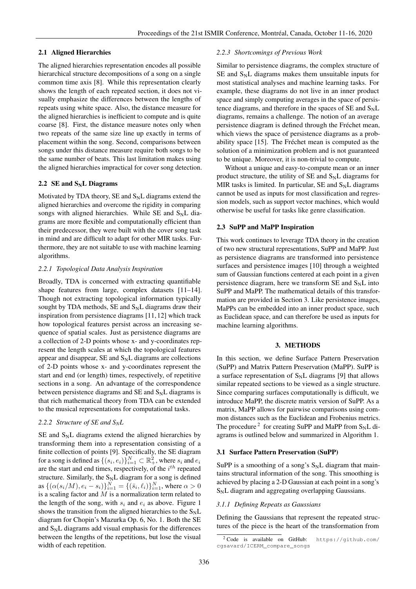# 2.1 Aligned Hierarchies

The aligned hierarchies representation encodes all possible hierarchical structure decompositions of a song on a single common time axis [8]. While this representation clearly shows the length of each repeated section, it does not visually emphasize the differences between the lengths of repeats using white space. Also, the distance measure for the aligned hierarchies is inefficient to compute and is quite coarse [8]. First, the distance measure notes only when two repeats of the same size line up exactly in terms of placement within the song. Second, comparisons between songs under this distance measure require both songs to be the same number of beats. This last limitation makes using the aligned hierarchies impractical for cover song detection.

#### 2.2 SE and  $S_N$ L Diagrams

Motivated by TDA theory, SE and  $S_NL$  diagrams extend the aligned hierarchies and overcome the rigidity in comparing songs with aligned hierarchies. While SE and  $S_N L$  diagrams are more flexible and computationally efficient than their predecessor, they were built with the cover song task in mind and are difficult to adapt for other MIR tasks. Furthermore, they are not suitable to use with machine learning algorithms.

#### *2.2.1 Topological Data Analysis Inspiration*

Broadly, TDA is concerned with extracting quantifiable shape features from large, complex datasets [11–14]. Though not extracting topological information typically sought by TDA methods,  $SE$  and  $S_NL$  diagrams draw their inspiration from persistence diagrams [11, 12] which track how topological features persist across an increasing sequence of spatial scales. Just as persistence diagrams are a collection of 2-D points whose x- and y-coordinates represent the length scales at which the topological features appear and disappear,  $SE$  and  $S_NL$  diagrams are collections of 2-D points whose x- and y-coordinates represent the start and end (or length) times, respectively, of repetitive sections in a song. An advantage of the correspondence between persistence diagrams and SE and  $S_N$ L diagrams is that rich mathematical theory from TDA can be extended to the musical representations for computational tasks.

#### *2.2.2 Structure of SE and SNL*

 $SE$  and  $S_NL$  diagrams extend the aligned hierarchies by transforming them into a representation consisting of a finite collection of points [9]. Specifically, the SE diagram for a song is defined as  $\{(s_i, e_i)\}_{i=1}^N \subset \mathbb{R}^2_+$ , where  $s_i$  and  $e_i$ are the start and end times, respectively, of the  $i<sup>th</sup>$  repeated structure. Similarly, the  $S_NL$  diagram for a song is defined as  $\{(\alpha(s_i/M), e_i - s_i)\}_{i=1}^N = \{(\bar{s}_i, \ell_i)\}_{i=1}^N$ , where  $\alpha > 0$ is a scaling factor and  $M$  is a normalization term related to the length of the song, with  $s_i$  and  $e_i$  as above. Figure 1 shows the transition from the aligned hierarchies to the  $S_N L$ diagram for Chopin's Mazurka Op. 6, No. 1. Both the SE and  $S_N$ L diagrams add visual emphasis for the differences between the lengths of the repetitions, but lose the visual width of each repetition.

# *2.2.3 Shortcomings of Previous Work*

Similar to persistence diagrams, the complex structure of  $SE$  and  $S_NL$  diagrams makes them unsuitable inputs for most statistical analyses and machine learning tasks. For example, these diagrams do not live in an inner product space and simply computing averages in the space of persistence diagrams, and therefore in the spaces of  $SE$  and  $S_NL$ diagrams, remains a challenge. The notion of an average persistence diagram is defined through the Fréchet mean, which views the space of persistence diagrams as a probability space [15]. The Fréchet mean is computed as the solution of a minimization problem and is not guaranteed to be unique. Moreover, it is non-trivial to compute.

Without a unique and easy-to-compute mean or an inner product structure, the utility of  $SE$  and  $S_NL$  diagrams for MIR tasks is limited. In particular,  $SE$  and  $S_NL$  diagrams cannot be used as inputs for most classification and regression models, such as support vector machines, which would otherwise be useful for tasks like genre classification.

#### 2.3 SuPP and MaPP Inspiration

This work continues to leverage TDA theory in the creation of two new structural representations, SuPP and MaPP. Just as persistence diagrams are transformed into persistence surfaces and persistence images [10] through a weighted sum of Gaussian functions centered at each point in a given persistence diagram, here we transform  $SE$  and  $S_NL$  into SuPP and MaPP. The mathematical details of this transformation are provided in Section 3. Like persistence images, MaPPs can be embedded into an inner product space, such as Euclidean space, and can therefore be used as inputs for machine learning algorithms.

#### 3. METHODS

In this section, we define Surface Pattern Preservation (SuPP) and Matrix Pattern Preservation (MaPP). SuPP is a surface representation of  $S_NL$  diagrams [9] that allows similar repeated sections to be viewed as a single structure. Since comparing surfaces computationally is difficult, we introduce MaPP, the discrete matrix version of SuPP. As a matrix, MaPP allows for pairwise comparisons using common distances such as the Euclidean and Frobenius metrics. The procedure<sup>2</sup> for creating SuPP and MaPP from  $S_N L$  diagrams is outlined below and summarized in Algorithm 1.

#### 3.1 Surface Pattern Preservation (SuPP)

SuPP is a smoothing of a song's  $S_NL$  diagram that maintains structural information of the song. This smoothing is achieved by placing a 2-D Gaussian at each point in a song's  $S_NL$  diagram and aggregating overlapping Gaussians.

#### *3.1.1 Defining Repeats as Gaussians*

Defining the Gaussians that represent the repeated structures of the piece is the heart of the transformation from

<sup>2</sup> Code is available on GitHub: https://github.com/ cgsavard/ICERM\_compare\_songs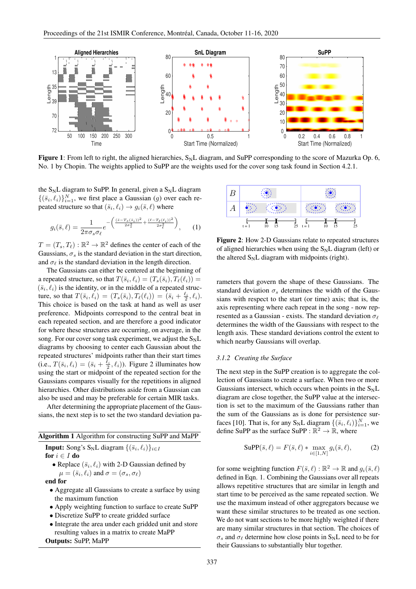

Figure 1: From left to right, the aligned hierarchies,  $S_N L$  diagram, and SuPP corresponding to the score of Mazurka Op. 6, No. 1 by Chopin. The weights applied to SuPP are the weights used for the cover song task found in Section 4.2.1.

the  $S_N$ L diagram to SuPP. In general, given a  $S_N$ L diagram  $\{(\bar{s}_i, \ell_i)\}_{i=1}^N$ , we first place a Gaussian (g) over each repeated structure so that  $(\bar{s}_i, \ell_i) \rightarrow g_i(\bar{s}, \ell)$  where

$$
g_i(\bar{s}, \ell) = \frac{1}{2\pi\sigma_s\sigma_\ell} e^{-\left(\frac{(\bar{s} - T_s(\bar{s}_i))^2}{2\sigma_s^2} + \frac{(\ell - T_\ell(\ell_i))^2}{2\sigma_\ell^2}\right)}, \qquad (1)
$$

 $T = (T_s, T_\ell) : \mathbb{R}^2 \to \mathbb{R}^2$  defines the center of each of the Gaussians,  $\sigma_s$  is the standard deviation in the start direction, and  $\sigma_{\ell}$  is the standard deviation in the length direction.

The Gaussians can either be centered at the beginning of a repeated structure, so that  $T(\bar{s}_i, \ell_i) = (T_s(\bar{s}_i), T_\ell(\ell_i)) =$  $(\bar{s}_i, \ell_i)$  is the identity, or in the middle of a repeated structure, so that  $T(\bar{s}_i, \ell_i) = (T_s(\bar{s}_i), T_{\ell}(\ell_i)) = (\bar{s}_i + \frac{\ell_i}{2}, \ell_i).$ This choice is based on the task at hand as well as user preference. Midpoints correspond to the central beat in each repeated section, and are therefore a good indicator for where these structures are occurring, on average, in the song. For our cover song task experiment, we adjust the  $S_N L$ diagrams by choosing to center each Gaussian about the repeated structures' midpoints rather than their start times (i.e.,  $T(\bar{s}_i, \ell_i) = (\bar{s}_i + \frac{\ell_i}{2}, \ell_i)$ ). Figure 2 illuminates how using the start or midpoint of the repeated section for the Gaussians compares visually for the repetitions in aligned hierarchies. Other distributions aside from a Gaussian can also be used and may be preferable for certain MIR tasks.

After determining the appropriate placement of the Gaussians, the next step is to set the two standard deviation pa-

|  |  |  | Algorithm 1 Algorithm for constructing SuPP and MaPP |
|--|--|--|------------------------------------------------------|
|--|--|--|------------------------------------------------------|

**Input:** Song's 
$$
S_N L
$$
 diagram  $\{(\bar{s}_i, \ell_i)\}_{i \in I}$ 

$$
\mathbf{for}\ i \in I\ \mathbf{do}
$$

• Replace  $(\bar{s}_i, \ell_i)$  with 2-D Gaussian defined by  $\mu = (\bar{s}_i, \ell_i)$  and  $\sigma = (\sigma_s, \sigma_\ell)$ 

end for

- Aggregate all Gaussians to create a surface by using the maximum function
- Apply weighting function to surface to create SuPP
- Discretize SuPP to create gridded surface
- Integrate the area under each gridded unit and store resulting values in a matrix to create MaPP

Outputs: SuPP, MaPP



Figure 2: How 2-D Gaussians relate to repeated structures of aligned hierarchies when using the  $S_N L$  diagram (left) or the altered  $S_N L$  diagram with midpoints (right).

rameters that govern the shape of these Gaussians. The standard deviation  $\sigma_s$  determines the width of the Gaussians with respect to the start (or time) axis; that is, the axis representing where each repeat in the song - now represented as a Gaussian - exists. The standard deviation  $\sigma_{\ell}$ determines the width of the Gaussians with respect to the length axis. These standard deviations control the extent to which nearby Gaussians will overlap.

# *3.1.2 Creating the Surface*

The next step in the SuPP creation is to aggregate the collection of Gaussians to create a surface. When two or more Gaussians intersect, which occurs when points in the  $S_N L$ diagram are close together, the SuPP value at the intersection is set to the maximum of the Gaussians rather than the sum of the Gaussians as is done for persistence surfaces [10]. That is, for any S<sub>N</sub>L diagram  $\{(\bar{s}_i, \ell_i)\}_{i=1}^N$ , we define SuPP as the surface SuPP :  $\mathbb{R}^2 \to \mathbb{R}$ , where

$$
\text{SupP}(\bar{s}, \ell) = F(\bar{s}, \ell) * \max_{i \in [1, N]} g_i(\bar{s}, \ell), \tag{2}
$$

for some weighting function  $F(\bar{s}, \ell) : \mathbb{R}^2 \to \mathbb{R}$  and  $g_i(\bar{s}, \ell)$ defined in Eqn. 1. Combining the Gaussians over all repeats allows repetitive structures that are similar in length and start time to be perceived as the same repeated section. We use the maximum instead of other aggregators because we want these similar structures to be treated as one section. We do not want sections to be more highly weighted if there are many similar structures in that section. The choices of  $\sigma_s$  and  $\sigma_\ell$  determine how close points in S<sub>N</sub>L need to be for their Gaussians to substantially blur together.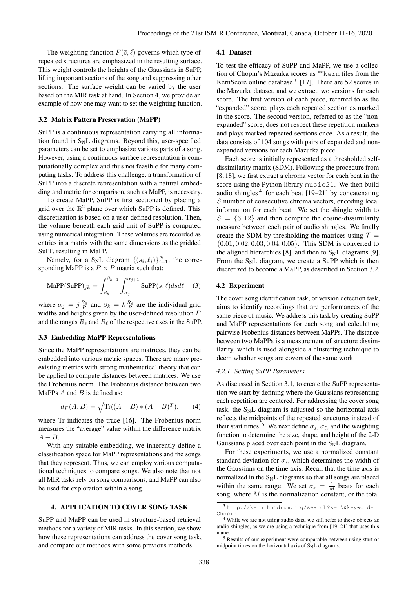The weighting function  $F(\bar{s}, \ell)$  governs which type of repeated structures are emphasized in the resulting surface. This weight controls the heights of the Gaussians in SuPP, lifting important sections of the song and suppressing other sections. The surface weight can be varied by the user based on the MIR task at hand. In Section 4, we provide an example of how one may want to set the weighting function.

#### 3.2 Matrix Pattern Preservation (MaPP)

SuPP is a continuous representation carrying all information found in  $S_NL$  diagrams. Beyond this, user-specified parameters can be set to emphasize various parts of a song. However, using a continuous surface representation is computationally complex and thus not feasible for many computing tasks. To address this challenge, a transformation of SuPP into a discrete representation with a natural embedding and metric for comparison, such as MaPP, is necessary.

To create MaPP, SuPP is first sectioned by placing a grid over the  $\mathbb{R}^2$  plane over which SuPP is defined. This discretization is based on a user-defined resolution. Then, the volume beneath each grid unit of SuPP is computed using numerical integration. These volumes are recorded as entries in a matrix with the same dimensions as the gridded SuPP, resulting in MaPP.

Namely, for a S<sub>N</sub>L diagram  $\{(\bar{s}_i, \ell_i)\}_{i=1}^N$ , the corresponding MaPP is a  $P \times P$  matrix such that:

$$
\text{MaPP}(\text{SuPP})_{jk} = \int_{\beta_k}^{\beta_{k+1}} \int_{\alpha_j}^{\alpha_{j+1}} \text{SuPP}(\bar{s}, \ell) d\bar{s} d\ell \quad (3)
$$

where  $\alpha_j = j \frac{R_{\bar{s}}}{P}$  and  $\beta_k = k \frac{R_\ell}{P}$  are the individual grid widths and heights given by the user-defined resolution P and the ranges  $R_{\bar{s}}$  and  $R_{\ell}$  of the respective axes in the SuPP.

#### 3.3 Embedding MaPP Representations

Since the MaPP representations are matrices, they can be embedded into various metric spaces. There are many preexisting metrics with strong mathematical theory that can be applied to compute distances between matrices. We use the Frobenius norm. The Frobenius distance between two MaPPs  $A$  and  $B$  is defined as:

$$
d_F(A, B) = \sqrt{\text{Tr}((A - B) * (A - B)^T)},
$$
 (4)

where Tr indicates the trace [16]. The Frobenius norm measures the "average" value within the difference matrix  $A - B$ .

With any suitable embedding, we inherently define a classification space for MaPP representations and the songs that they represent. Thus, we can employ various computational techniques to compare songs. We also note that not all MIR tasks rely on song comparisons, and MaPP can also be used for exploration within a song.

#### 4. APPLICATION TO COVER SONG TASK

SuPP and MaPP can be used in structure-based retrieval methods for a variety of MIR tasks. In this section, we show how these representations can address the cover song task, and compare our methods with some previous methods.

#### 4.1 Dataset

To test the efficacy of SuPP and MaPP, we use a collection of Chopin's Mazurka scores as ∗∗kern files from the KernScore online database  $3$  [17]. There are 52 scores in the Mazurka dataset, and we extract two versions for each score. The first version of each piece, referred to as the "expanded" score, plays each repeated section as marked in the score. The second version, referred to as the "nonexpanded" score, does not respect these repetition markers and plays marked repeated sections once. As a result, the data consists of 104 songs with pairs of expanded and nonexpanded versions for each Mazurka piece.

Each score is initially represented as a thresholded selfdissimilarity matrix (SDM). Following the procedure from [8, 18], we first extract a chroma vector for each beat in the score using the Python library music21. We then build audio shingles  $4$  for each beat [19–21] by concatenating S number of consecutive chroma vectors, encoding local information for each beat. We set the shingle width to  $S = \{6, 12\}$  and then compute the cosine-dissimilarity measure between each pair of audio shingles. We finally create the SDM by thresholding the matrices using  $\mathcal{T} =$ {0.01, 0.02, 0.03, 0.04, 0.05}. This SDM is converted to the aligned hierarchies [8], and then to  $S_NL$  diagrams [9]. From the  $S_N L$  diagram, we create a SuPP which is then discretized to become a MaPP, as described in Section 3.2.

#### 4.2 Experiment

The cover song identification task, or version detection task, aims to identify recordings that are performances of the same piece of music. We address this task by creating SuPP and MaPP representations for each song and calculating pairwise Frobenius distances between MaPPs. The distance between two MaPPs is a measurement of structure dissimilarity, which is used alongside a clustering technique to deem whether songs are covers of the same work.

# *4.2.1 Setting SuPP Parameters*

As discussed in Section 3.1, to create the SuPP representation we start by defining where the Gaussians representing each repetition are centered. For addressing the cover song task, the  $S_N L$  diagram is adjusted so the horizontal axis reflects the midpoints of the repeated structures instead of their start times.<sup>5</sup> We next define  $\sigma_s$ ,  $\sigma_\ell$ , and the weighting function to determine the size, shape, and height of the 2-D Gaussians placed over each point in the  $S_N L$  diagram.

For these experiments, we use a normalized constant standard deviation for  $\sigma_s$ , which determines the width of the Gaussians on the time axis. Recall that the time axis is normalized in the  $S_NL$  diagrams so that all songs are placed within the same range. We set  $\sigma_s = \frac{1}{M}$  beats for each song, where  $M$  is the normalization constant, or the total

<sup>3</sup>http://kern.humdrum.org/search?s=t\&keyword= Chopin

<sup>&</sup>lt;sup>4</sup> While we are not using audio data, we still refer to these objects as audio shingles, as we are using a technique from [19–21] that uses this name.

<sup>5</sup> Results of our experiment were comparable between using start or midpoint times on the horizontal axis of  $S_N L$  diagrams.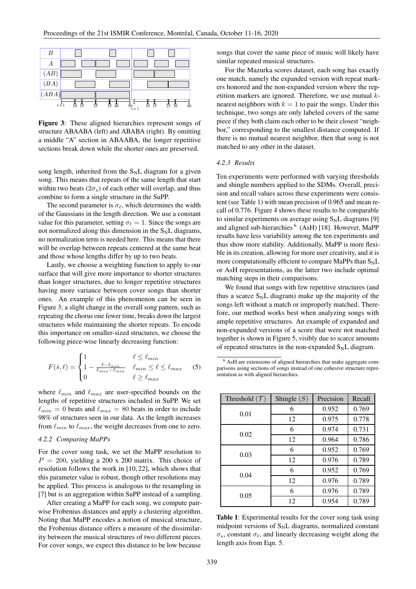

Figure 3: These aligned hierarchies represent songs of structure ABAABA (left) and ABABA (right). By omitting a middle "A" section in ABAABA, the longer repetitive sections break down while the shorter ones are preserved.

song length, inherited from the  $S_NL$  diagram for a given song. This means that repeats of the same length that start within two beats  $(2\sigma_s)$  of each other will overlap, and thus combine to form a single structure in the SuPP.

The second parameter is  $\sigma_{\ell}$ , which determines the width of the Gaussians in the length direction. We use a constant value for this parameter, setting  $\sigma_{\ell} = 1$ . Since the songs are not normalized along this dimension in the  $S_N L$  diagrams, no normalization term is needed here. This means that there will be overlap between repeats centered at the same beat and those whose lengths differ by up to two beats.

Lastly, we choose a weighting function to apply to our surface that will give more importance to shorter structures than longer structures, due to longer repetitive structures having more variance between cover songs than shorter ones. An example of this phenomenon can be seen in Figure 3; a slight change in the overall song pattern, such as repeating the chorus one fewer time, breaks down the largest structures while maintaining the shorter repeats. To encode this importance on smaller-sized structures, we choose the following piece-wise linearly decreasing function:

$$
F(\bar{s}, \ell) = \begin{cases} 1 & \ell \le \ell_{min} \\ 1 - \frac{\ell - \ell_{min}}{\ell_{max} - \ell_{min}} & \ell_{min} \le \ell \le \ell_{max} \\ 0 & \ell \ge \ell_{max} \end{cases}
$$
 (5)

where  $\ell_{min}$  and  $\ell_{max}$  are user-specified bounds on the lengths of repetitive structures included in SuPP. We set  $\ell_{min} = 0$  beats and  $\ell_{max} = 80$  beats in order to include 98% of structures seen in our data. As the length increases from  $\ell_{min}$  to  $\ell_{max}$ , the weight decreases from one to zero.

# *4.2.2 Comparing MaPPs*

For the cover song task, we set the MaPP resolution to  $P = 200$ , yielding a 200 x 200 matrix. This choice of resolution follows the work in [10, 22], which shows that this parameter value is robust, though other resolutions may be applied. This process is analogous to the resampling in [7] but is an aggregation within SuPP instead of a sampling.

After creating a MaPP for each song, we compute pairwise Frobenius distances and apply a clustering algorithm. Noting that MaPP encodes a notion of musical structure, the Frobenius distance offers a measure of the dissimilarity between the musical structures of two different pieces. For cover songs, we expect this distance to be low because

songs that cover the same piece of music will likely have similar repeated musical structures.

For the Mazurka scores dataset, each song has exactly one match, namely the expanded version with repeat markers honored and the non-expanded version where the repetition markers are ignored. Therefore, we use mutual knearest neighbors with  $k = 1$  to pair the songs. Under this technique, two songs are only labeled covers of the same piece if they both claim each other to be their closest "neighbor," corresponding to the smallest distance computed. If there is no mutual nearest neighbor, then that song is not matched to any other in the dataset.

#### *4.2.3 Results*

Ten experiments were performed with varying thresholds and shingle numbers applied to the SDMs. Overall, precision and recall values across these experiments were consistent (see Table 1) with mean precision of 0.965 and mean recall of 0.776. Figure 4 shows these results to be comparable to similar experiments on average using  $S_N L$  diagrams [9] and aligned sub-hierarchies <sup>6</sup> (AsH) [18]. However, MaPP results have less variability among the ten experiments and thus show more stability. Additionally, MaPP is more flexible in its creation, allowing for more user creativity, and it is more computationally efficient to compare MaPPs than  $S_N L$ or AsH representations, as the latter two include optimal matching steps in their comparisons.

We found that songs with few repetitive structures (and thus a scarce  $S_N L$  diagram) make up the majority of the songs left without a match or improperly matched. Therefore, our method works best when analyzing songs with ample repetitive structures. An example of expanded and non-expanded versions of a score that were not matched together is shown in Figure 5, visibly due to scarce amounts of repeated structures in the non-expanded  $S_N L$  diagram.

<sup>6</sup> AsH are extensions of aligned hierarchies that make aggregate comparisons using sections of songs instead of one cohesive structure representation as with aligned hierarchies.

| Threshold $(\mathcal{T})$ | Shingle $(S)$ | Precision | Recall |
|---------------------------|---------------|-----------|--------|
| 0.01                      | 6             | 0.952     | 0.769  |
|                           | 12            | 0.975     | 0.778  |
| 0.02                      | 6             | 0.974     | 0.731  |
|                           | 12            | 0.964     | 0.786  |
| 0.03                      | 6             | 0.952     | 0.769  |
|                           | 12            | 0.976     | 0.789  |
| 0.04                      | 6             | 0.952     | 0.769  |
|                           | 12            | 0.976     | 0.789  |
| 0.05                      | 6             | 0.976     | 0.789  |
|                           | 12            | 0.954     | 0.789  |

Table 1: Experimental results for the cover song task using midpoint versions of  $S_NL$  diagrams, normalized constant  $\sigma_s$ , constant  $\sigma_\ell$ , and linearly decreasing weight along the length axis from Eqn. 5.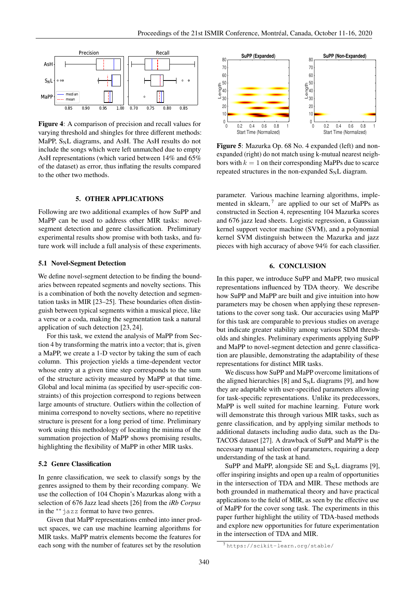

Figure 4: A comparison of precision and recall values for varying threshold and shingles for three different methods: MaPP,  $S_N L$  diagrams, and AsH. The AsH results do not include the songs which were left unmatched due to empty AsH representations (which varied between 14% and 65% of the dataset) as error, thus inflating the results compared to the other two methods.

# 5. OTHER APPLICATIONS

Following are two additional examples of how SuPP and MaPP can be used to address other MIR tasks: novelsegment detection and genre classification. Preliminary experimental results show promise with both tasks, and future work will include a full analysis of these experiments.

#### 5.1 Novel-Segment Detection

We define novel-segment detection to be finding the boundaries between repeated segments and novelty sections. This is a combination of both the novelty detection and segmentation tasks in MIR [23–25]. These boundaries often distinguish between typical segments within a musical piece, like a verse or a coda, making the segmentation task a natural application of such detection [23, 24].

For this task, we extend the analysis of MaPP from Section 4 by transforming the matrix into a vector; that is, given a MaPP, we create a 1-D vector by taking the sum of each column. This projection yields a time-dependent vector whose entry at a given time step corresponds to the sum of the structure activity measured by MaPP at that time. Global and local minima (as specified by user-specific constraints) of this projection correspond to regions between large amounts of structure. Outliers within the collection of minima correspond to novelty sections, where no repetitive structure is present for a long period of time. Preliminary work using this methodology of locating the minima of the summation projection of MaPP shows promising results, highlighting the flexibility of MaPP in other MIR tasks.

# 5.2 Genre Classification

In genre classification, we seek to classify songs by the genres assigned to them by their recording company. We use the collection of 104 Chopin's Mazurkas along with a selection of 676 Jazz lead sheets [26] from the *iRb Corpus* in the ∗∗jazz format to have two genres.

Given that MaPP representations embed into inner product spaces, we can use machine learning algorithms for MIR tasks. MaPP matrix elements become the features for each song with the number of features set by the resolution



Figure 5: Mazurka Op. 68 No. 4 expanded (left) and nonexpanded (right) do not match using k-mutual nearest neighbors with  $k = 1$  on their corresponding MaPPs due to scarce repeated structures in the non-expanded  $S_N L$  diagram.

parameter. Various machine learning algorithms, implemented in sklearn,  $7$  are applied to our set of MaPPs as constructed in Section 4, representing 104 Mazurka scores and 676 jazz lead sheets. Logistic regression, a Gaussian kernel support vector machine (SVM), and a polynomial kernel SVM distinguish between the Mazurka and jazz pieces with high accuracy of above 94% for each classifier.

# 6. CONCLUSION

In this paper, we introduce SuPP and MaPP, two musical representations influenced by TDA theory. We describe how SuPP and MaPP are built and give intuition into how parameters may be chosen when applying these representations to the cover song task. Our accuracies using MaPP for this task are comparable to previous studies on average but indicate greater stability among various SDM thresholds and shingles. Preliminary experiments applying SuPP and MaPP to novel-segment detection and genre classification are plausible, demonstrating the adaptability of these representations for distinct MIR tasks.

We discuss how SuPP and MaPP overcome limitations of the aligned hierarchies [8] and  $S<sub>N</sub>L$  diagrams [9], and how they are adaptable with user-specified parameters allowing for task-specific representations. Unlike its predecessors, MaPP is well suited for machine learning. Future work will demonstrate this through various MIR tasks, such as genre classification, and by applying similar methods to additional datasets including audio data, such as the Da-TACOS dataset [27]. A drawback of SuPP and MaPP is the necessary manual selection of parameters, requiring a deep understanding of the task at hand.

SuPP and MaPP, alongside SE and  $S_NL$  diagrams [9], offer inspiring insights and open up a realm of opportunities in the intersection of TDA and MIR. These methods are both grounded in mathematical theory and have practical applications to the field of MIR, as seen by the effective use of MaPP for the cover song task. The experiments in this paper further highlight the utility of TDA-based methods and explore new opportunities for future experimentation in the intersection of TDA and MIR.

<sup>7</sup> https://scikit-learn.org/stable/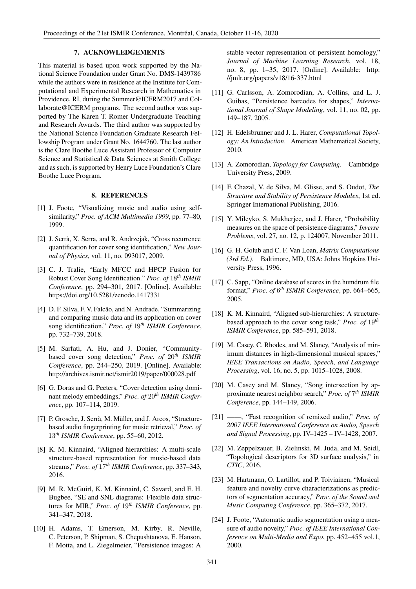# 7. ACKNOWLEDGEMENTS

This material is based upon work supported by the National Science Foundation under Grant No. DMS-1439786 while the authors were in residence at the Institute for Computational and Experimental Research in Mathematics in Providence, RI, during the Summer@ICERM2017 and Collaborate@ICERM programs. The second author was supported by The Karen T. Romer Undergraduate Teaching and Research Awards. The third author was supported by the National Science Foundation Graduate Research Fellowship Program under Grant No. 1644760. The last author is the Clare Boothe Luce Assistant Professor of Computer Science and Statistical & Data Sciences at Smith College and as such, is supported by Henry Luce Foundation's Clare Boothe Luce Program.

# 8. REFERENCES

- [1] J. Foote, "Visualizing music and audio using selfsimilarity," *Proc. of ACM Multimedia 1999*, pp. 77–80, 1999.
- [2] J. Serrà, X. Serra, and R. Andrzejak, "Cross recurrence quantification for cover song identification," *New Journal of Physics*, vol. 11, no. 093017, 2009.
- [3] C. J. Tralie, "Early MFCC and HPCP Fusion for Robust Cover Song Identification." *Proc. of* 18*th ISMIR Conference*, pp. 294–301, 2017. [Online]. Available: https://doi.org/10.5281/zenodo.1417331
- [4] D. F. Silva, F. V. Falcão, and N. Andrade, "Summarizing and comparing music data and its application on cover song identification," *Proc. of* 19*th ISMIR Conference*, pp. 732–739, 2018.
- [5] M. Sarfati, A. Hu, and J. Donier, "Communitybased cover song detection," *Proc. of* 20*th ISMIR Conference*, pp. 244–250, 2019. [Online]. Available: http://archives.ismir.net/ismir2019/paper/000028.pdf
- [6] G. Doras and G. Peeters, "Cover detection using dominant melody embeddings," *Proc. of* 20*th ISMIR Conference*, pp. 107–114, 2019.
- [7] P. Grosche, J. Serrà, M. Müller, and J. Arcos, "Structurebased audio fingerprinting for music retrieval," *Proc. of* 13*th ISMIR Conference*, pp. 55–60, 2012.
- [8] K. M. Kinnaird, "Aligned hierarchies: A multi-scale structure-based representation for music-based data streams," *Proc. of* 17*th ISMIR Conference*, pp. 337–343, 2016.
- [9] M. R. McGuirl, K. M. Kinnaird, C. Savard, and E. H. Bugbee, "SE and SNL diagrams: Flexible data structures for MIR," *Proc. of* 19*th ISMIR Conference*, pp. 341–347, 2018.
- [10] H. Adams, T. Emerson, M. Kirby, R. Neville, C. Peterson, P. Shipman, S. Chepushtanova, E. Hanson, F. Motta, and L. Ziegelmeier, "Persistence images: A

stable vector representation of persistent homology," *Journal of Machine Learning Research*, vol. 18, no. 8, pp. 1–35, 2017. [Online]. Available: http: //jmlr.org/papers/v18/16-337.html

- [11] G. Carlsson, A. Zomorodian, A. Collins, and L. J. Guibas, "Persistence barcodes for shapes," *International Journal of Shape Modeling*, vol. 11, no. 02, pp. 149–187, 2005.
- [12] H. Edelsbrunner and J. L. Harer, *Computational Topology: An Introduction*. American Mathematical Society, 2010.
- [13] A. Zomorodian, *Topology for Computing*. Cambridge University Press, 2009.
- [14] F. Chazal, V. de Silva, M. Glisse, and S. Oudot, *The Structure and Stability of Persistence Modules*, 1st ed. Springer International Publishing, 2016.
- [15] Y. Mileyko, S. Mukherjee, and J. Harer, "Probability" measures on the space of persistence diagrams," *Inverse Problems*, vol. 27, no. 12, p. 124007, November 2011.
- [16] G. H. Golub and C. F. Van Loan, *Matrix Computations (3rd Ed.)*. Baltimore, MD, USA: Johns Hopkins University Press, 1996.
- [17] C. Sapp, "Online database of scores in the humdrum file format," *Proc. of* 6 *th ISMIR Conference*, pp. 664–665, 2005.
- [18] K. M. Kinnaird, "Aligned sub-hierarchies: A structurebased approach to the cover song task," *Proc. of* 19*th ISMIR Conference*, pp. 585–591, 2018.
- [19] M. Casey, C. Rhodes, and M. Slaney, "Analysis of minimum distances in high-dimensional musical spaces," *IEEE Transactions on Audio, Speech, and Language Processing*, vol. 16, no. 5, pp. 1015–1028, 2008.
- [20] M. Casey and M. Slaney, "Song intersection by approximate nearest neighbor search," *Proc. of* 7 *th ISMIR Conference*, pp. 144–149, 2006.
- [21] ——, "Fast recognition of remixed audio," *Proc. of 2007 IEEE International Conference on Audio, Speech and Signal Processing*, pp. IV–1425 – IV–1428, 2007.
- [22] M. Zeppelzauer, B. Zielinski, M. Juda, and M. Seidl, "Topological descriptors for 3D surface analysis," in *CTIC*, 2016.
- [23] M. Hartmann, O. Lartillot, and P. Toiviainen, "Musical feature and novelty curve characterizations as predictors of segmentation accuracy," *Proc. of the Sound and Music Computing Conference*, pp. 365–372, 2017.
- [24] J. Foote, "Automatic audio segmentation using a measure of audio novelty," *Proc. of IEEE International Conference on Multi-Media and Expo*, pp. 452–455 vol.1, 2000.